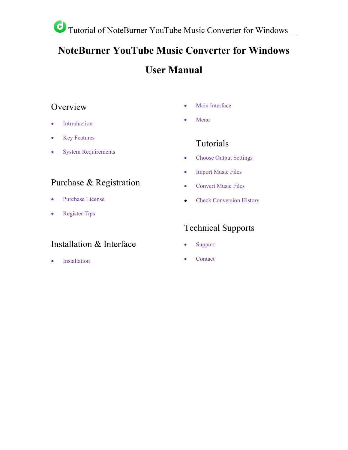# **NoteBurner YouTube Music Converter for Windows**

# **User Manual**

## Overview **Contract Contract Contract Contract Contract Contract Contract Contract Contract Contract Contract Contract Contract Contract Contract Contract Contract Contract Contract Contract Contract Contract Contract Contr**

- [Introduction](#page-1-0)
- Key [Features](#page-1-1)
- System [Requirements](#page-1-2)

# Purchase & Registration

- [Purchase](#page-2-0) License
- [Register](#page-3-0) Tips

# Installation & Interface

**•** [Installation](#page-4-0)

- Main [Interface](#page-4-1)
- [Menu](#page-5-0)

# Tutorials

- Choose Output [Settings](#page-6-0)
- [Import](#page-7-0) Music Files
- [Convert](#page-7-1) Music Files
- Check [Conversion](#page-9-0) History

# Technical Supports

- [Support](#page-10-0)
- [Contact](#page-10-1)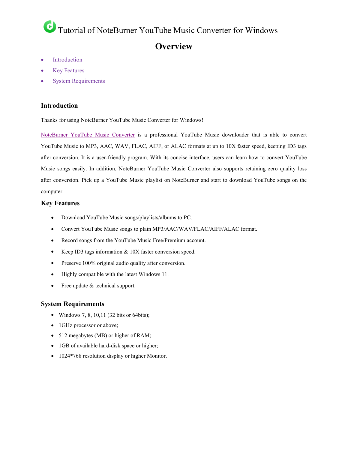## **Overview**

- [Introduction](#page-1-0)
- Key [Features](#page-1-1)
- System [Requirements](#page-1-2)

#### <span id="page-1-0"></span>**Introduction**

Thanks for using NoteBurner YouTube Music Converter for Windows!

[NoteBurner](https://www.noteburner.com/youtube-music-converter-windows.html) YouTube Music Converter is a professional YouTube Music downloader that is able to convert YouTube Music to MP3, AAC, WAV, FLAC, AIFF, or ALAC formats at up to 10X faster speed, keeping ID3 tags after conversion. It is a user-friendly program. With its concise interface, users can learn how to convert YouTube Music songs easily. In addition, NoteBurner YouTube Music Converter also supports retaining zero quality loss after conversion. Pick up a YouTube Music playlist on NoteBurner and start to download YouTube songs on the computer.

#### <span id="page-1-1"></span>**Key Features**

- Download YouTube Music songs/playlists/albums to PC.
- Convert YouTube Music songs to plain MP3/AAC/WAV/FLAC/AIFF/ALAC format.
- Record songs from the YouTube Music Free/Premium account.
- Keep ID3 tags information & 10X faster conversion speed.
- **•** Preserve 100% original audio quality after conversion.
- Highly compatible with the latest Windows 11.
- Free update & technical support.

#### <span id="page-1-2"></span>**System Requirements**

- Windows 7, 8, 10,11 (32 bits or 64bits);
- 1GHz processor or above;
- 512 megabytes (MB) or higher of RAM;
- 1GB of available hard-disk space or higher;
- 1024\*768 resolution display or higher Monitor.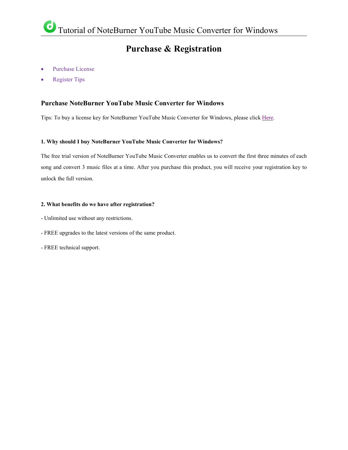### **Purchase & Registration**

- [Purchase](#page-2-0) License
- [Register](#page-3-0) Tips

#### <span id="page-2-0"></span>**Purchase NoteBurner YouTube Music Converter for Windows**

Tips: To buy a license key for NoteBurner YouTube Music Converter for Windows, please click [Here.](https://www.noteburner.com/order-youtube-music-converter-windows.html)

#### **1. Why should I buy NoteBurner YouTube Music Converter for Windows?**

The free trial version of NoteBurner YouTube Music Converter enables us to convert the first three minutes of each song and convert 3 music files ata time. After you purchase this product, you will receive your registration key to unlock the full version.

#### **2. What benefits do we have after registration?**

- Unlimited use without any restrictions.
- FREE upgrades to the latest versions of the same product.<br>- FREE technical support.
-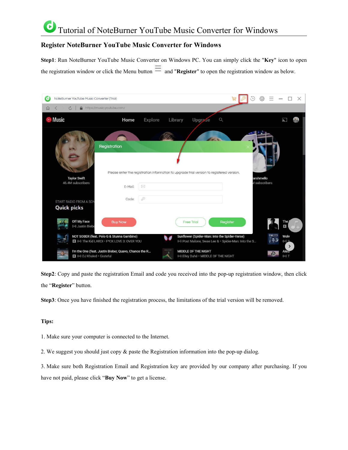### G Tutorial of NoteBurner YouTube Music Converter for Windows

### <span id="page-3-0"></span>**Register NoteBurner YouTube Music Converter for Windows**

**Step1**: Run NoteBurner YouTube Music Converter on Windows PC. You can simply click the "**Key**" icon to open the registration window or click the Menu button  $\equiv$  and "**Register**" to open the registration window as below.

| NoteBurner YouTube Music Converter (Trial)<br>0                                        |                                                                                                                     |         |                                                                                                       |          | {O}                        | X                             |
|----------------------------------------------------------------------------------------|---------------------------------------------------------------------------------------------------------------------|---------|-------------------------------------------------------------------------------------------------------|----------|----------------------------|-------------------------------|
| https://music.youtube.com/<br>$\circ$<br>$\Omega$                                      |                                                                                                                     |         |                                                                                                       |          |                            |                               |
| $\odot$ Music                                                                          | Explore<br>Home                                                                                                     | Library | $\Omega$<br>Upgrade                                                                                   |          |                            | ÌГ.                           |
| Registration<br><b>Taylor Swift</b><br>46.4M subscribers                               | Please enter the registration information to upgrade trial version to registered version.<br>$\boxtimes$<br>E-Mail: |         |                                                                                                       |          | arshmello<br>I subscribers |                               |
| START RADIO FROM A SON<br><b>Quick picks</b>                                           | $\mathcal{O}$<br>Code:                                                                                              |         |                                                                                                       |          |                            |                               |
| Off My Face<br>((a) Justin Biebe                                                       | <b>Buy Now</b>                                                                                                      |         | <b>Free Trial</b>                                                                                     | Register |                            | The<br>E                      |
| NOT SOBER (feat. Polo G & Stunna Gambino)<br>(b) The Kid LAROI . F*CK LOVE 3: OVER YOU |                                                                                                                     |         | Sunflower (Spider-Man: Into the Spider-Verse)<br>(v) Post Malone, Swae Lee & . Spider-Man: Into the S |          |                            | Wolv<br>2(4)<br>$\rightarrow$ |
| I'm the One (feat. Justin Bieber, Quavo, Chance the R<br>(b) DJ Khaled · Grateful      |                                                                                                                     |         | <b>MIDDLE OF THE NIGHT</b><br>(v) Elley Duhé · MIDDLE OF THE NIGHT                                    |          |                            | Alest<br>$( (*) )$ T          |

**Step2**: Copy and paste the registration Email and code you received into the pop-up registration window, then click the "**Register**" button.

Step3: Once you have finished the registration process, the limitations of the trial version will be removed.

#### **Tips:**

- 1. Make sure your computer is connected to the Internet.
- 2. We suggest you should just copy & paste the Registration information into the pop-up dialog.

3. Make sure both Registration Email and Registration key are provided by our company after purchasing. If you have not paid, please click "**Buy Now**" to get a license.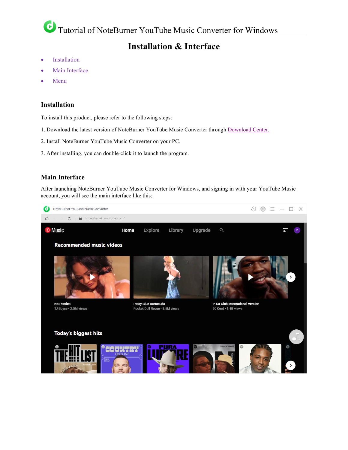## **Installation & Interface**

- [Installation](#page-4-0)
- Main [Interface](#page-4-1)
- [Menu](#page-5-0)

### <span id="page-4-0"></span>**Installation**

To install this product, please refer to the following steps:

- 1. Download the latest version of NoteBurner YouTube Music Converter through [Download](https://www.noteburner.com/download.html) Center.
- 2. Install NoteBurner YouTube Music Converter on your PC.
- 3. After installing, you can double-click it to launch the program.

### <span id="page-4-1"></span>**Main Interface**

After launching NoteBurner YouTube Music Converter for Windows, and signing in with your YouTube Music account, you will see the main interface like this:

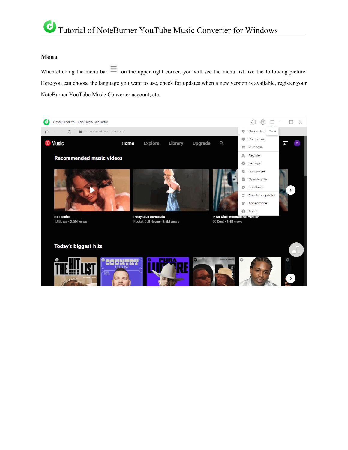#### <span id="page-5-0"></span>**Menu**

When clicking the menu bar  $\equiv$  on the upper right corner, you will see the menu list like the following picture. Here you can choose the language you want to use, check for updates when a new version is available, register your NoteBurner YouTube Music Converter account, etc.

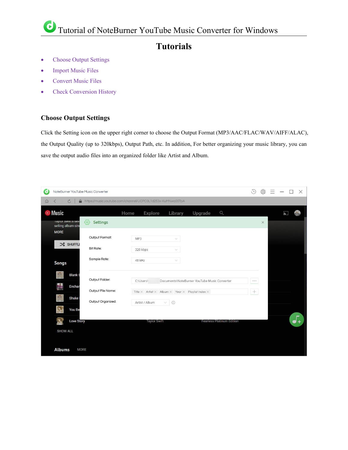### **Tutorials**

- Choose Output [Settings](#page-6-0)
- [Import](#page-7-0) Music Files
- [Convert](#page-7-1) Music Files
- Check [Conversion](#page-9-0) History

### <span id="page-6-0"></span>**Choose Output Settings**

Click the Setting icon on the upper right corner to choose the Output Format (MP3/AAC/FLAC/WAV/AIFF/ALAC), the Output Quality (up to 320kbps), Output Path, etc. In addition, For better organizing your music library, you can save the output audio files into an organized folder like Artist and Album.

| NoteBurner YouTube Music Converter<br>G                         |                   |                                                                                     | $\begin{picture}(22,25) \put(0,0){\dashbox{0.5}(5,0){ }} \thicklines \put(0,0){\dashbox{0.5}(5,0){ }} \thicklines \put(0,0){\dashbox{0.5}(5,0){ }} \thicklines \put(1,0){\dashbox{0.5}(5,0){ }} \thicklines \put(1,0){\dashbox{0.5}(5,0){ }} \thicklines \put(1,0){\dashbox{0.5}(5,0){ }} \thicklines \put(1,0){\dashbox{0.5}(5,0){ }} \thicklines \put(1,0){\dashbox{0.5}(5,0){ }} \thicklines \put(1,0){\dashbox{0.5}(5,$<br>හි | X                                       |
|-----------------------------------------------------------------|-------------------|-------------------------------------------------------------------------------------|-----------------------------------------------------------------------------------------------------------------------------------------------------------------------------------------------------------------------------------------------------------------------------------------------------------------------------------------------------------------------------------------------------------------------------------|-----------------------------------------|
| $\circ$<br>$\Omega$<br>$\overline{\left\langle \right\rangle }$ |                   | https://music.youtube.com/channel/UCPC0L1d253x-KuMNwa05TpA                          |                                                                                                                                                                                                                                                                                                                                                                                                                                   |                                         |
| <b>⊙ Music</b><br>Taylor Swift's Sevi                           | {⊙े<br>Settings   | $\circ$<br>Upgrade<br>Home<br>Explore<br>Library                                    | $\times$                                                                                                                                                                                                                                                                                                                                                                                                                          | $\left  \frac{1}{2} \right $<br>la<br>L |
| selling album sind<br><b>MORE</b>                               | Output Format:    | MP3<br>$\vee$                                                                       |                                                                                                                                                                                                                                                                                                                                                                                                                                   |                                         |
| X SHUFFLI                                                       | <b>Bit Rate:</b>  | 320 kbps<br>$\vee$                                                                  |                                                                                                                                                                                                                                                                                                                                                                                                                                   |                                         |
| <b>Songs</b>                                                    | Sample Rate:      | 48 kHz<br>$\checkmark$                                                              |                                                                                                                                                                                                                                                                                                                                                                                                                                   |                                         |
| <b>Blank S</b><br>Enchar                                        | Output Folder:    | Documents\NoteBurner YouTube Music Converter<br>C:\Users\                           | $\pm$ 0.4                                                                                                                                                                                                                                                                                                                                                                                                                         |                                         |
| Shake                                                           | Output File Name: | Title $\times$ Artist $\times$ Album $\times$ Year $\times$ Playlist Index $\times$ | $^{+}$                                                                                                                                                                                                                                                                                                                                                                                                                            |                                         |
| <b>You Be</b>                                                   | Output Organized: | Artist / Album<br>$\odot$<br>V                                                      |                                                                                                                                                                                                                                                                                                                                                                                                                                   |                                         |
| <b>Love Story</b>                                               |                   | <b>Taylor Swift</b><br><b>Fearless Platinum Edition</b>                             |                                                                                                                                                                                                                                                                                                                                                                                                                                   |                                         |
| <b>SHOW ALL</b><br><b>Albums</b><br><b>MORE</b>                 |                   |                                                                                     |                                                                                                                                                                                                                                                                                                                                                                                                                                   |                                         |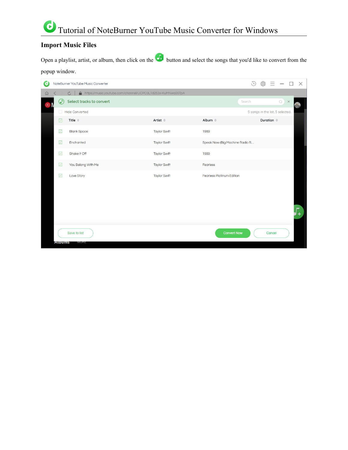### <span id="page-7-0"></span>**Import Music Files**

Open a playlist, artist, or album, then click on the button and select the songs that you'd like to convert from the popup window.

<span id="page-7-1"></span>

| d                                     |                    | NoteBurner YouTube Music Converter                                      |                      |                                  | $\bigodot$ | හි                    |                                          |          | $\times$ |
|---------------------------------------|--------------------|-------------------------------------------------------------------------|----------------------|----------------------------------|------------|-----------------------|------------------------------------------|----------|----------|
| $\Omega$                              |                    | A https://music.youtube.com/channel/UCPC0L1d253x-KuMNwa05TpA<br>$\circ$ |                      |                                  |            |                       |                                          |          |          |
| $\textcircled{\scriptsize\textsf{B}}$ | $\circledcirc$     | Select tracks to convert                                                |                      |                                  | Search     |                       | $\hbox{\ensuremath{\mathcal{Q}}}\xspace$ | $\times$ |          |
|                                       |                    | Hide Converted                                                          |                      |                                  |            |                       | 5 songs in the list, 5 selected.         |          |          |
|                                       | $\triangledown$    | Title $\triangleq$                                                      | Artist $\Rightarrow$ | Album $\Leftrightarrow$          |            | Duration $\triangleq$ |                                          |          |          |
|                                       | $\overline{\vee}$  | <b>Blank Space</b>                                                      | <b>Taylor Swift</b>  | 1989                             |            |                       |                                          |          |          |
|                                       | $\overline{\vee}$  | Enchanted                                                               | <b>Taylor Swift</b>  | Speak Now (Big Machine Radio R   |            |                       |                                          |          |          |
|                                       | $\overline{\vee}$  | Shake It Off                                                            | <b>Taylor Swift</b>  | 1989                             |            |                       |                                          |          |          |
|                                       | $\overline{\vee}$  | You Belong With Me                                                      | <b>Taylor Swift</b>  | Fearless                         |            |                       |                                          |          |          |
|                                       | $\vert \vee \vert$ | Love Story                                                              | <b>Taylor Swift</b>  | <b>Fearless Platinum Edition</b> |            |                       |                                          |          |          |
|                                       | <b>Albums</b>      | Save to list<br>MUKE                                                    |                      | <b>Convert Now</b>               |            |                       | Cancel                                   |          |          |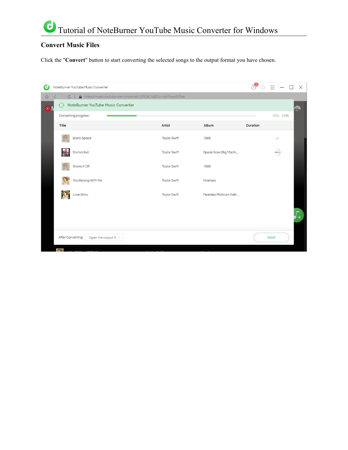### **Convert Music Files**

Click the "Convert" button to start converting the selected songs to the output format you have chosen.

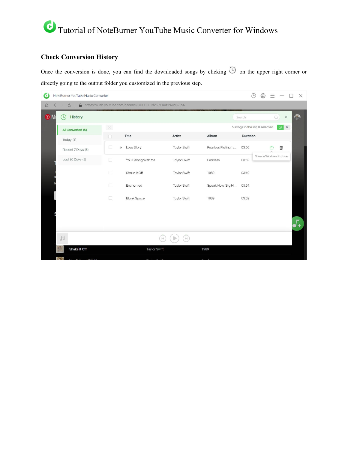### <span id="page-9-0"></span>**Check Conversion History**

Once the conversion is done, you can find the downloaded songs by clicking  $\bigcirc$  on the upper right corner or directly going to the output folder you customized in the previous step.